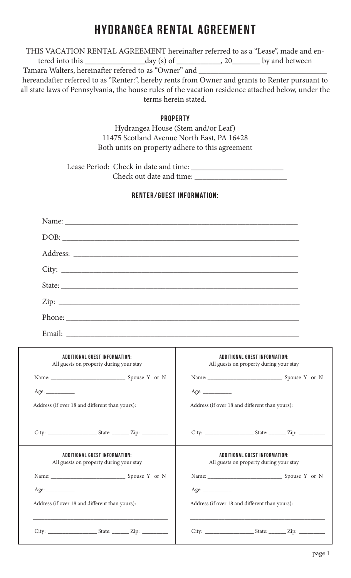# HYDRANGEA RENTAL AGREEMENT

THIS VACATION RENTAL AGREEMENT hereinafter referred to as a "Lease", made and entered into this \_\_\_\_\_\_\_\_\_\_\_\_\_\_\_day (s) of \_\_\_\_\_\_\_\_\_\_\_, 20\_\_\_\_\_\_\_ by and between

Tamara Walters, hereinafter refered to as "Owner" and \_\_\_\_\_\_\_\_\_\_\_\_\_\_\_\_\_\_\_\_\_\_\_\_\_\_

hereandafter referred to as "Renter:", hereby rents from Owner and grants to Renter pursuant to all state laws of Pennsylvania, the house rules of the vacation residence attached below, under the terms herein stated.

#### **PROPERTY**

Hydrangea House (Stem and/or Leaf) 11475 Scotland Avenue North East, PA 16428 Both units on property adhere to this agreement

Lease Period: Check in date and time: \_\_\_\_\_\_\_\_\_\_\_\_\_\_\_\_\_\_\_\_\_\_\_ Check out date and time:

### RENTER/GUEST INFORMATION:

|        | DOB:                                                                                                                 |  |
|--------|----------------------------------------------------------------------------------------------------------------------|--|
|        |                                                                                                                      |  |
|        |                                                                                                                      |  |
|        |                                                                                                                      |  |
|        |                                                                                                                      |  |
|        |                                                                                                                      |  |
| Email: | <u> 1980 - Jan James James Alemania, prima popular popular e popular popular popular popular popular popular pop</u> |  |

| ADDITIONAL GUEST INFORMATION:<br>All guests on property during your stay | ADDITIONAL GUEST INFORMATION:<br>All guests on property during your stay |
|--------------------------------------------------------------------------|--------------------------------------------------------------------------|
| Name: Spouse Y or N                                                      | Name: Spouse Y or N                                                      |
| Age:                                                                     | Age:                                                                     |
| Address (if over 18 and different than yours):                           | Address (if over 18 and different than yours):                           |
|                                                                          |                                                                          |
|                                                                          |                                                                          |
| ADDITIONAL GUEST INFORMATION:<br>All guests on property during your stay | ADDITIONAL GUEST INFORMATION:<br>All guests on property during your stay |
| Name: Spouse Y or N                                                      |                                                                          |
|                                                                          | Age:                                                                     |
| Address (if over 18 and different than yours):                           | Address (if over 18 and different than yours):                           |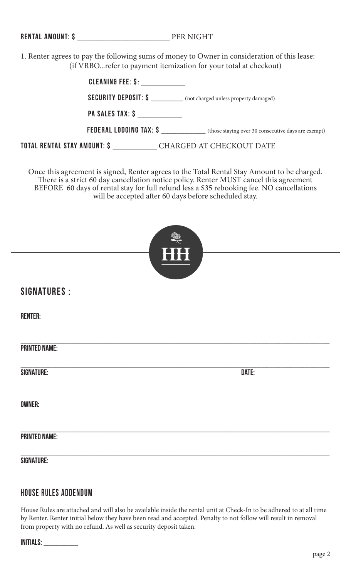|  |  |  |  |  |  |  |  |  |  |  |  | <b>RENTAL AMOUNT: \$</b> |
|--|--|--|--|--|--|--|--|--|--|--|--|--------------------------|
|--|--|--|--|--|--|--|--|--|--|--|--|--------------------------|

PER NIGHT

1. Renter agrees to pay the following sums of money to Owner in consideration of this lease: (if VRBO...refer to payment itemization for your total at checkout)

| CLEANING FEE: \$:                                                  |                                                                                |
|--------------------------------------------------------------------|--------------------------------------------------------------------------------|
|                                                                    | <b>SECURITY DEPOSIT: \$</b> ____________ (not charged unless property damaged) |
| <b>PA SALES TAX: \$</b>                                            |                                                                                |
|                                                                    |                                                                                |
| TOTAL RENTAL STAY AMOUNT: \$ ____________ CHARGED AT CHECKOUT DATE |                                                                                |

Once this agreement is signed, Renter agrees to the Total Rental Stay Amount to be charged. There is a strict 60 day cancellation notice policy. Renter MUST cancel this agreement BEFORE 60 days of rental stay for full refund less a \$35 rebooking fee. NO cancellations will be accepted after 60 days before scheduled stay.

|                      | ٢<br>HH |       |  |
|----------------------|---------|-------|--|
| <b>SIGNATURES :</b>  |         |       |  |
| <b>RENTER:</b>       |         |       |  |
| <b>PRINTED NAME:</b> |         |       |  |
| SIGNATURE:           |         | DATE: |  |
| <b>OWNER:</b>        |         |       |  |
| <b>PRINTED NAME:</b> |         |       |  |
| <b>SIGNATURE:</b>    |         |       |  |

## house rules addendum

House Rules are attached and will also be available inside the rental unit at Check-In to be adhered to at all time by Renter. Renter initial below they have been read and accepted. Penalty to not follow will result in removal from property with no refund. As well as security deposit taken.

| <b>INITIALS:</b> |  |
|------------------|--|
|------------------|--|